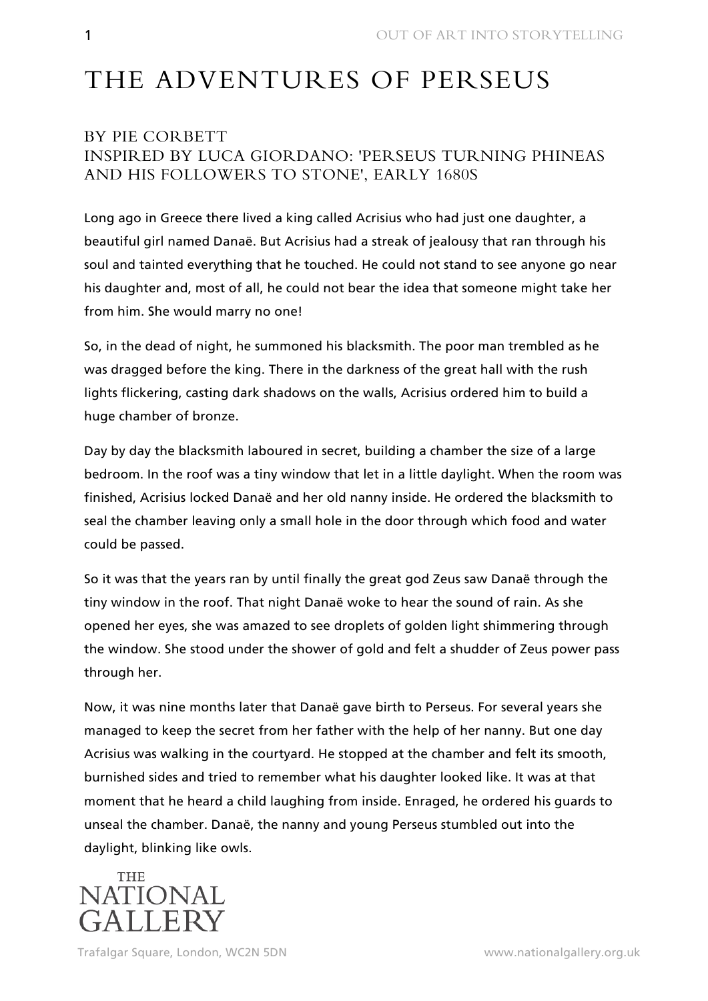## THE ADVENTURES OF PERSEUS

## BY PIE CORBETT INSPIRED BY LUCA GIORDANO: 'PERSEUS TURNING PHINEAS AND HIS FOLLOWERS TO STONE', EARLY 1680S

Long ago in Greece there lived a king called Acrisius who had just one daughter, a beautiful girl named Danaë. But Acrisius had a streak of jealousy that ran through his soul and tainted everything that he touched. He could not stand to see anyone go near his daughter and, most of all, he could not bear the idea that someone might take her from him. She would marry no one!

So, in the dead of night, he summoned his blacksmith. The poor man trembled as he was dragged before the king. There in the darkness of the great hall with the rush lights flickering, casting dark shadows on the walls, Acrisius ordered him to build a huge chamber of bronze.

Day by day the blacksmith laboured in secret, building a chamber the size of a large bedroom. In the roof was a tiny window that let in a little daylight. When the room was finished, Acrisius locked Danaë and her old nanny inside. He ordered the blacksmith to seal the chamber leaving only a small hole in the door through which food and water could be passed.

So it was that the years ran by until finally the great god Zeus saw Danaë through the tiny window in the roof. That night Danaë woke to hear the sound of rain. As she opened her eyes, she was amazed to see droplets of golden light shimmering through the window. She stood under the shower of gold and felt a shudder of Zeus power pass through her.

Now, it was nine months later that Danaë gave birth to Perseus. For several years she managed to keep the secret from her father with the help of her nanny. But one day Acrisius was walking in the courtyard. He stopped at the chamber and felt its smooth, burnished sides and tried to remember what his daughter looked like. It was at that moment that he heard a child laughing from inside. Enraged, he ordered his guards to unseal the chamber. Danaë, the nanny and young Perseus stumbled out into the daylight, blinking like owls.

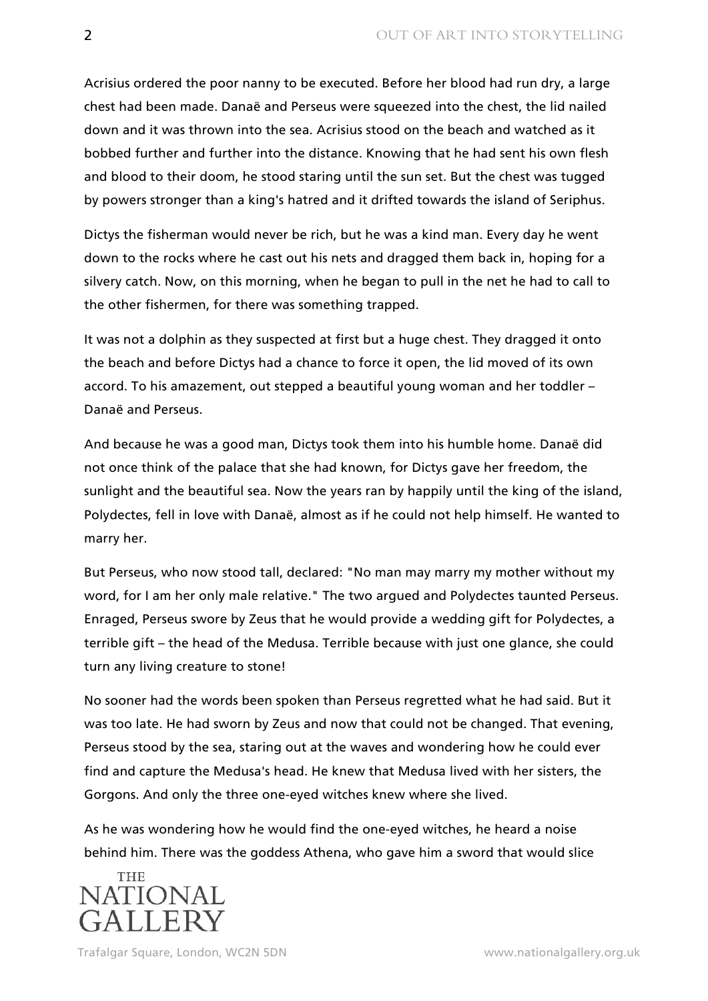Acrisius ordered the poor nanny to be executed. Before her blood had run dry, a large chest had been made. Danaë and Perseus were squeezed into the chest, the lid nailed down and it was thrown into the sea. Acrisius stood on the beach and watched as it bobbed further and further into the distance. Knowing that he had sent his own flesh and blood to their doom, he stood staring until the sun set. But the chest was tugged by powers stronger than a king's hatred and it drifted towards the island of Seriphus.

Dictys the fisherman would never be rich, but he was a kind man. Every day he went down to the rocks where he cast out his nets and dragged them back in, hoping for a silvery catch. Now, on this morning, when he began to pull in the net he had to call to the other fishermen, for there was something trapped.

It was not a dolphin as they suspected at first but a huge chest. They dragged it onto the beach and before Dictys had a chance to force it open, the lid moved of its own accord. To his amazement, out stepped a beautiful young woman and her toddler – Danaë and Perseus.

And because he was a good man, Dictys took them into his humble home. Danaë did not once think of the palace that she had known, for Dictys gave her freedom, the sunlight and the beautiful sea. Now the years ran by happily until the king of the island, Polydectes, fell in love with Danaë, almost as if he could not help himself. He wanted to marry her.

But Perseus, who now stood tall, declared: "No man may marry my mother without my word, for I am her only male relative." The two argued and Polydectes taunted Perseus. Enraged, Perseus swore by Zeus that he would provide a wedding gift for Polydectes, a terrible gift – the head of the Medusa. Terrible because with just one glance, she could turn any living creature to stone!

No sooner had the words been spoken than Perseus regretted what he had said. But it was too late. He had sworn by Zeus and now that could not be changed. That evening, Perseus stood by the sea, staring out at the waves and wondering how he could ever find and capture the Medusa's head. He knew that Medusa lived with her sisters, the Gorgons. And only the three one-eyed witches knew where she lived.

As he was wondering how he would find the one-eyed witches, he heard a noise behind him. There was the goddess Athena, who gave him a sword that would slice

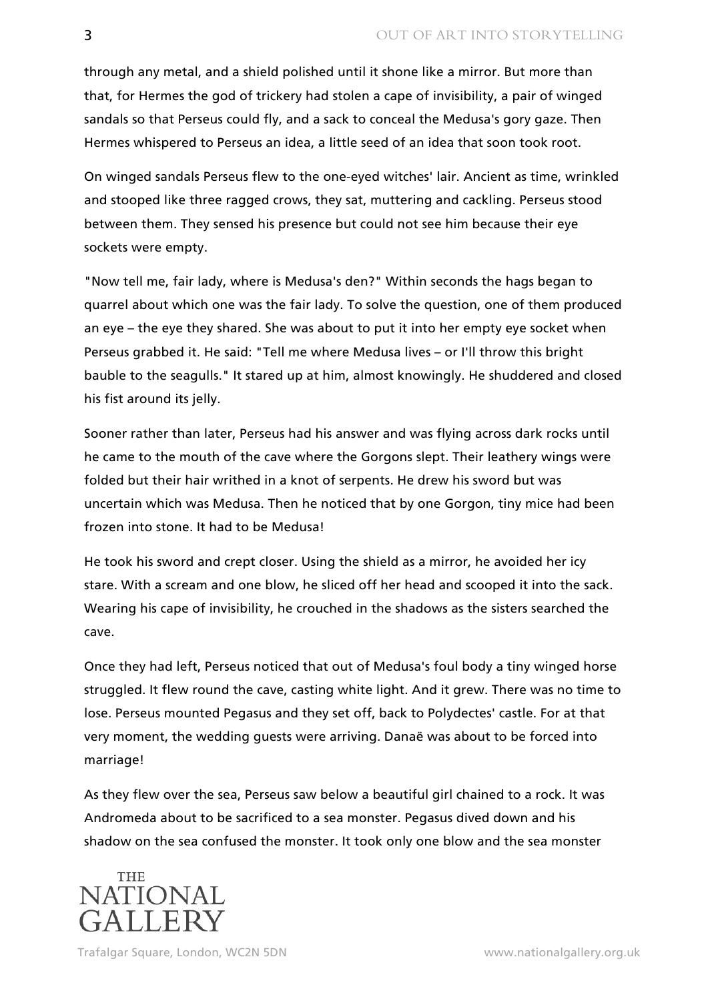through any metal, and a shield polished until it shone like a mirror. But more than that, for Hermes the god of trickery had stolen a cape of invisibility, a pair of winged sandals so that Perseus could fly, and a sack to conceal the Medusa's gory gaze. Then Hermes whispered to Perseus an idea, a little seed of an idea that soon took root.

On winged sandals Perseus flew to the one-eyed witches' lair. Ancient as time, wrinkled and stooped like three ragged crows, they sat, muttering and cackling. Perseus stood between them. They sensed his presence but could not see him because their eye sockets were empty.

"Now tell me, fair lady, where is Medusa's den?" Within seconds the hags began to quarrel about which one was the fair lady. To solve the question, one of them produced an eye – the eye they shared. She was about to put it into her empty eye socket when Perseus grabbed it. He said: "Tell me where Medusa lives – or I'll throw this bright bauble to the seagulls." It stared up at him, almost knowingly. He shuddered and closed his fist around its jelly.

Sooner rather than later, Perseus had his answer and was flying across dark rocks until he came to the mouth of the cave where the Gorgons slept. Their leathery wings were folded but their hair writhed in a knot of serpents. He drew his sword but was uncertain which was Medusa. Then he noticed that by one Gorgon, tiny mice had been frozen into stone. It had to be Medusa!

He took his sword and crept closer. Using the shield as a mirror, he avoided her icy stare. With a scream and one blow, he sliced off her head and scooped it into the sack. Wearing his cape of invisibility, he crouched in the shadows as the sisters searched the cave.

Once they had left, Perseus noticed that out of Medusa's foul body a tiny winged horse struggled. It flew round the cave, casting white light. And it grew. There was no time to lose. Perseus mounted Pegasus and they set off, back to Polydectes' castle. For at that very moment, the wedding guests were arriving. Danaë was about to be forced into marriage!

As they flew over the sea, Perseus saw below a beautiful girl chained to a rock. It was Andromeda about to be sacrificed to a sea monster. Pegasus dived down and his shadow on the sea confused the monster. It took only one blow and the sea monster